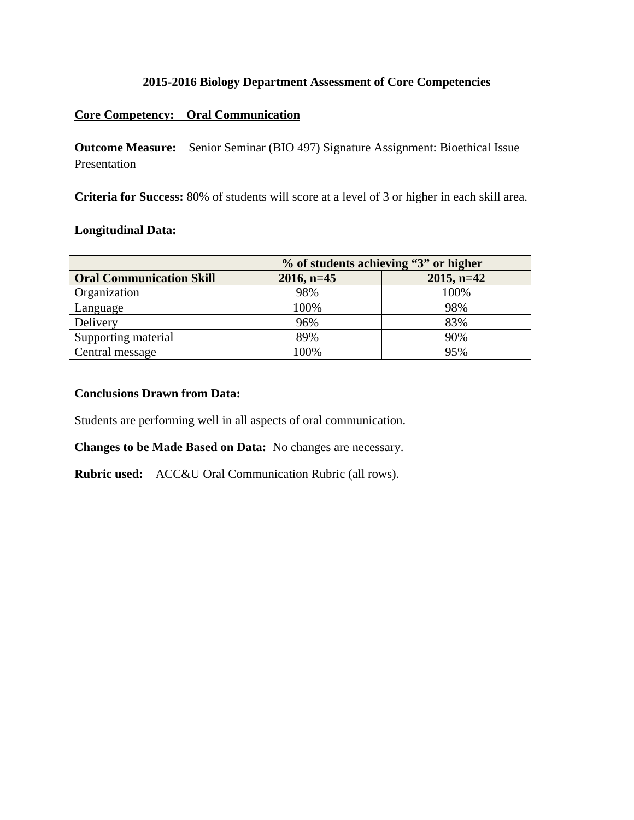#### **2015-2016 Biology Department Assessment of Core Competencies**

### **Core Competency: Oral Communication**

**Outcome Measure:** Senior Seminar (BIO 497) Signature Assignment: Bioethical Issue Presentation

**Criteria for Success:** 80% of students will score at a level of 3 or higher in each skill area.

# **Longitudinal Data:**

|                                 | % of students achieving "3" or higher |               |  |
|---------------------------------|---------------------------------------|---------------|--|
| <b>Oral Communication Skill</b> | $2016$ , n=45                         | $2015$ , n=42 |  |
| Organization                    | 98%                                   | 100%          |  |
| Language                        | 100%                                  | 98%           |  |
| Delivery                        | 96%                                   | 83%           |  |
| Supporting material             | 89%                                   | 90%           |  |
| Central message                 | 100%                                  | 95%           |  |

### **Conclusions Drawn from Data:**

Students are performing well in all aspects of oral communication.

**Changes to be Made Based on Data:** No changes are necessary.

**Rubric used:** ACC&U Oral Communication Rubric (all rows).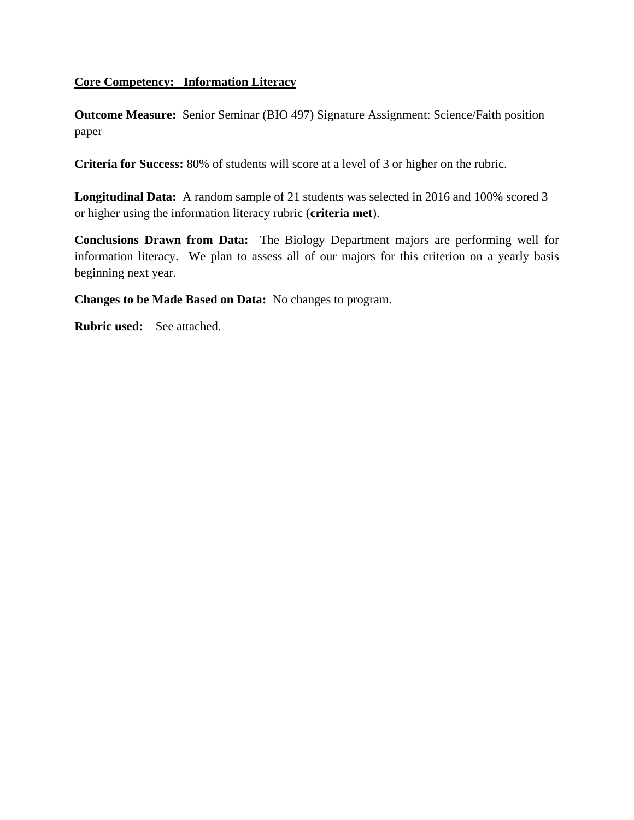## **Core Competency: Information Literacy**

**Outcome Measure:** Senior Seminar (BIO 497) Signature Assignment: Science/Faith position paper

**Criteria for Success:** 80% of students will score at a level of 3 or higher on the rubric.

**Longitudinal Data:** A random sample of 21 students was selected in 2016 and 100% scored 3 or higher using the information literacy rubric (**criteria met**).

**Conclusions Drawn from Data:** The Biology Department majors are performing well for information literacy. We plan to assess all of our majors for this criterion on a yearly basis beginning next year.

**Changes to be Made Based on Data:** No changes to program.

**Rubric used:** See attached.